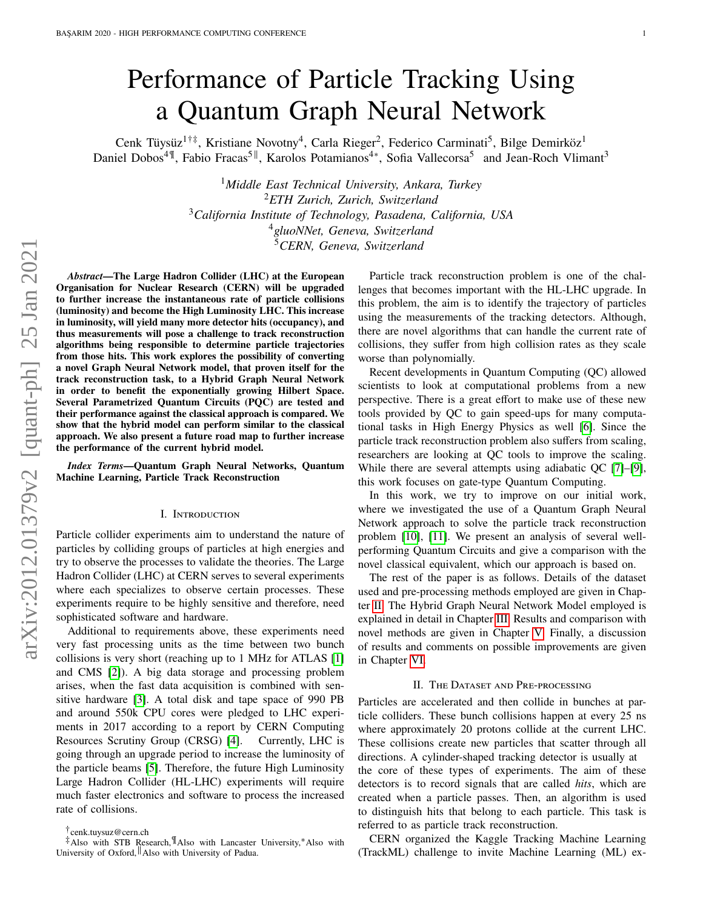# <span id="page-0-1"></span>Performance of Particle Tracking Using a Quantum Graph Neural Network

Cenk Tüysüz<sup>1†‡</sup>, Kristiane Novotny<sup>4</sup>, Carla Rieger<sup>2</sup>, Federico Carminati<sup>5</sup>, Bilge Demirköz<sup>1</sup> Daniel Dobos<sup>4¶</sup>, Fabio Fracas<sup>5∥</sup>, Karolos Potamianos<sup>4∗</sup>, Sofia Vallecorsa<sup>5</sup> and Jean-Roch Vlimant<sup>3</sup>

> *Middle East Technical University, Ankara, Turkey ETH Zurich, Zurich, Switzerland California Institute of Technology, Pasadena, California, USA gluoNNet, Geneva, Switzerland CERN, Geneva, Switzerland*

arXiv:2012.01379v2 [quant-ph] 25 Jan 2021 arXiv:2012.01379v2 [quant-ph] 25 Jan 2021

*Abstract***—The Large Hadron Collider (LHC) at the European Organisation for Nuclear Research (CERN) will be upgraded to further increase the instantaneous rate of particle collisions (luminosity) and become the High Luminosity LHC. This increase in luminosity, will yield many more detector hits (occupancy), and thus measurements will pose a challenge to track reconstruction algorithms being responsible to determine particle trajectories from those hits. This work explores the possibility of converting a novel Graph Neural Network model, that proven itself for the track reconstruction task, to a Hybrid Graph Neural Network in order to benefit the exponentially growing Hilbert Space. Several Parametrized Quantum Circuits (PQC) are tested and their performance against the classical approach is compared. We show that the hybrid model can perform similar to the classical approach. We also present a future road map to further increase the performance of the current hybrid model.**

*Index Terms***—Quantum Graph Neural Networks, Quantum Machine Learning, Particle Track Reconstruction**

#### I. Introduction

Particle collider experiments aim to understand the nature of particles by colliding groups of particles at high energies and try to observe the processes to validate the theories. The Large Hadron Collider (LHC) at CERN serves to several experiments where each specializes to observe certain processes. These experiments require to be highly sensitive and therefore, need sophisticated software and hardware.

Additional to requirements above, these experiments need very fast processing units as the time between two bunch collisions is very short (reaching up to 1 MHz for ATLAS [\[1\]](#page-5-0) and CMS [\[2\]](#page-5-1)). A big data storage and processing problem arises, when the fast data acquisition is combined with sensitive hardware [\[3\]](#page-5-2). A total disk and tape space of 990 PB and around 550k CPU cores were pledged to LHC experiments in 2017 according to a report by CERN Computing Resources Scrutiny Group (CRSG) [\[4\]](#page-5-3). Currently, LHC is going through an upgrade period to increase the luminosity of the particle beams [\[5\]](#page-5-4). Therefore, the future High Luminosity Large Hadron Collider (HL-LHC) experiments will require much faster electronics and software to process the increased rate of collisions.

Particle track reconstruction problem is one of the challenges that becomes important with the HL-LHC upgrade. In this problem, the aim is to identify the trajectory of particles using the measurements of the tracking detectors. Although, there are novel algorithms that can handle the current rate of collisions, they suffer from high collision rates as they scale worse than polynomially.

Recent developments in Quantum Computing (QC) allowed scientists to look at computational problems from a new perspective. There is a great effort to make use of these new tools provided by QC to gain speed-ups for many computational tasks in High Energy Physics as well [\[6\]](#page-5-5). Since the particle track reconstruction problem also suffers from scaling, researchers are looking at QC tools to improve the scaling. While there are several attempts using adiabatic QC [\[7\]](#page-5-6)–[\[9\]](#page-5-7), this work focuses on gate-type Quantum Computing.

In this work, we try to improve on our initial work, where we investigated the use of a Quantum Graph Neural Network approach to solve the particle track reconstruction problem [\[10\]](#page-5-8), [\[11\]](#page-5-9). We present an analysis of several wellperforming Quantum Circuits and give a comparison with the novel classical equivalent, which our approach is based on.

The rest of the paper is as follows. Details of the dataset used and pre-processing methods employed are given in Chapter [II.](#page-0-0) The Hybrid Graph Neural Network Model employed is explained in detail in Chapter [III.](#page-1-0) Results and comparison with novel methods are given in Chapter [V.](#page-4-0) Finally, a discussion of results and comments on possible improvements are given in Chapter [VI.](#page-4-1)

## II. The Dataset and Pre-processing

<span id="page-0-0"></span>Particles are accelerated and then collide in bunches at particle colliders. These bunch collisions happen at every 25 ns where approximately 20 protons collide at the current LHC. These collisions create new particles that scatter through all directions. A cylinder-shaped tracking detector is usually at the core of these types of experiments. The aim of these detectors is to record signals that are called *hits*, which are created when a particle passes. Then, an algorithm is used to distinguish hits that belong to each particle. This task is referred to as particle track reconstruction.

CERN organized the Kaggle Tracking Machine Learning (TrackML) challenge to invite Machine Learning (ML) ex-

<sup>†</sup>cenk.tuysuz@cern.ch

<sup>‡</sup>Also with STB Research,¶Also with Lancaster University,∗Also with University of Oxford, Also with University of Padua.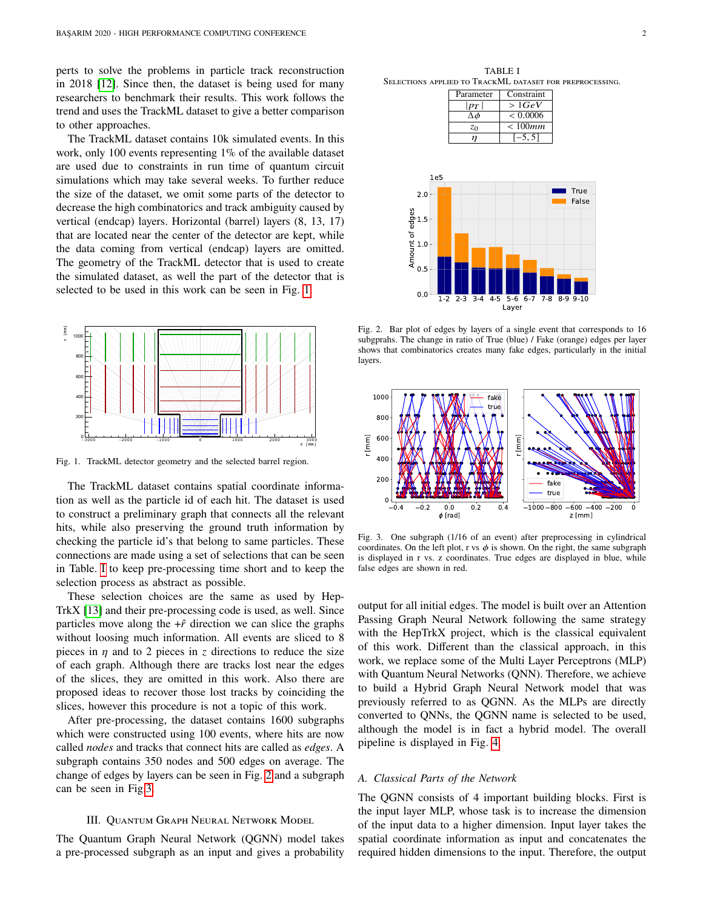perts to solve the problems in particle track reconstruction in 2018 [\[12\]](#page-5-10). Since then, the dataset is being used for many researchers to benchmark their results. This work follows the trend and uses the TrackML dataset to give a better comparison to other approaches.

The TrackML dataset contains 10k simulated events. In this work, only 100 events representing 1% of the available dataset are used due to constraints in run time of quantum circuit simulations which may take several weeks. To further reduce the size of the dataset, we omit some parts of the detector to decrease the high combinatorics and track ambiguity caused by vertical (endcap) layers. Horizontal (barrel) layers (8, 13, 17) that are located near the center of the detector are kept, while the data coming from vertical (endcap) layers are omitted. The geometry of the TrackML detector that is used to create the simulated dataset, as well the part of the detector that is selected to be used in this work can be seen in Fig. [1.](#page-1-1)



<span id="page-1-1"></span>Fig. 1. TrackML detector geometry and the selected barrel region.

The TrackML dataset contains spatial coordinate information as well as the particle id of each hit. The dataset is used to construct a preliminary graph that connects all the relevant hits, while also preserving the ground truth information by checking the particle id's that belong to same particles. These connections are made using a set of selections that can be seen in Table. [I](#page-1-2) to keep pre-processing time short and to keep the selection process as abstract as possible.

These selection choices are the same as used by Hep-TrkX [\[13\]](#page-5-11) and their pre-processing code is used, as well. Since particles move along the  $+\hat{r}$  direction we can slice the graphs without loosing much information. All events are sliced to 8 pieces in  $\eta$  and to 2 pieces in  $\zeta$  directions to reduce the size of each graph. Although there are tracks lost near the edges of the slices, they are omitted in this work. Also there are proposed ideas to recover those lost tracks by coinciding the slices, however this procedure is not a topic of this work.

After pre-processing, the dataset contains 1600 subgraphs which were constructed using 100 events, where hits are now called *nodes* and tracks that connect hits are called as *edges*. A subgraph contains 350 nodes and 500 edges on average. The change of edges by layers can be seen in Fig. [2](#page-1-3) and a subgraph can be seen in Fig[.3.](#page-1-4)

## III. Quantum Graph Neural Network Model

<span id="page-1-0"></span>The Quantum Graph Neural Network (QGNN) model takes a pre-processed subgraph as an input and gives a probability

<span id="page-1-2"></span>TABLE I Selections applied to TrackML dataset for preprocessing.

|                               | Parameter          | Constraint      |          |  |  |
|-------------------------------|--------------------|-----------------|----------|--|--|
|                               | $ p_T $            | >1 GeV          |          |  |  |
|                               | Δφ                 | < 0.0006        |          |  |  |
|                               | z <sub>0</sub>     | < 100mm         |          |  |  |
|                               | η                  | $[-5, 5]$       |          |  |  |
|                               |                    |                 |          |  |  |
|                               |                    |                 |          |  |  |
|                               |                    |                 |          |  |  |
| 1e5                           |                    |                 |          |  |  |
| 2.0                           |                    |                 | True     |  |  |
|                               |                    |                 | False    |  |  |
| s<br>Amount of edges<br>4.0.5 |                    |                 |          |  |  |
|                               |                    |                 |          |  |  |
|                               |                    |                 |          |  |  |
|                               |                    |                 |          |  |  |
|                               |                    |                 |          |  |  |
| 0.5                           |                    |                 |          |  |  |
|                               |                    |                 |          |  |  |
|                               |                    |                 |          |  |  |
| 0.0<br>$1-2$                  | $2 - 3$<br>$3 - 4$ | 4-5 5-6 6-7 7-8 | 8-9 9-10 |  |  |
| Layer                         |                    |                 |          |  |  |

<span id="page-1-3"></span>Fig. 2. Bar plot of edges by layers of a single event that corresponds to 16 subgprahs. The change in ratio of True (blue) / Fake (orange) edges per layer shows that combinatorics creates many fake edges, particularly in the initial layers.



<span id="page-1-4"></span>Fig. 3. One subgraph (1/16 of an event) after preprocessing in cylindrical coordinates. On the left plot, r vs  $\phi$  is shown. On the right, the same subgraph is displayed in r vs. z coordinates. True edges are displayed in blue, while false edges are shown in red.

output for all initial edges. The model is built over an Attention Passing Graph Neural Network following the same strategy with the HepTrkX project, which is the classical equivalent of this work. Different than the classical approach, in this work, we replace some of the Multi Layer Perceptrons (MLP) with Quantum Neural Networks (QNN). Therefore, we achieve to build a Hybrid Graph Neural Network model that was previously referred to as QGNN. As the MLPs are directly converted to QNNs, the QGNN name is selected to be used, although the model is in fact a hybrid model. The overall pipeline is displayed in Fig. [4.](#page-2-0)

## *A. Classical Parts of the Network*

The QGNN consists of 4 important building blocks. First is the input layer MLP, whose task is to increase the dimension of the input data to a higher dimension. Input layer takes the spatial coordinate information as input and concatenates the required hidden dimensions to the input. Therefore, the output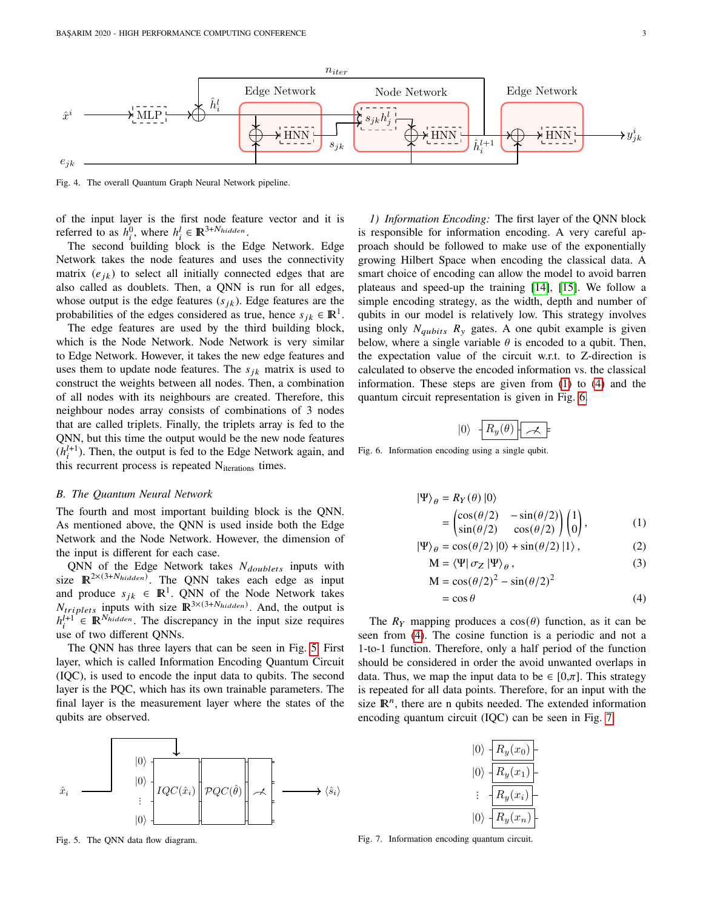

<span id="page-2-0"></span>Fig. 4. The overall Quantum Graph Neural Network pipeline.

of the input layer is the first node feature vector and it is referred to as  $h_i^0$ , where  $h_i^l \in \mathbb{R}^{3+N_{hidden}}$ .

The second building block is the Edge Network. Edge Network takes the node features and uses the connectivity matrix  $(e_{ik})$  to select all initially connected edges that are also called as doublets. Then, a QNN is run for all edges, whose output is the edge features  $(s_{ik})$ . Edge features are the probabilities of the edges considered as true, hence  $s_{jk} \in \mathbb{R}^1$ .

The edge features are used by the third building block, which is the Node Network. Node Network is very similar to Edge Network. However, it takes the new edge features and uses them to update node features. The  $s_{jk}$  matrix is used to construct the weights between all nodes. Then, a combination of all nodes with its neighbours are created. Therefore, this neighbour nodes array consists of combinations of 3 nodes that are called triplets. Finally, the triplets array is fed to the QNN, but this time the output would be the new node features  $(h_i^{l+1})$ . Then, the output is fed to the Edge Network again, and this recurrent process is repeated Niterations times.

## *B. The Quantum Neural Network*

The fourth and most important building block is the QNN. As mentioned above, the QNN is used inside both the Edge Network and the Node Network. However, the dimension of the input is different for each case.

QNN of the Edge Network takes  $N_{doublets}$  inputs with size  $\mathbb{R}^{2\times (3+N_{hidden})}$ . The QNN takes each edge as input and produce  $s_{jk} \in \mathbb{R}^1$ . QNN of the Node Network takes  $N_{triplets}$  inputs with size  $\mathbb{R}^{3 \times (3+N_{hidden})}$ . And, the output is  $h_i^{l+1} \in \mathbb{R}^{N_{hidden}}$ . The discrepancy in the input size requires use of two different QNNs.

The QNN has three layers that can be seen in Fig. [5.](#page-2-1) First layer, which is called Information Encoding Quantum Circuit (IQC), is used to encode the input data to qubits. The second layer is the PQC, which has its own trainable parameters. The final layer is the measurement layer where the states of the qubits are observed.



<span id="page-2-1"></span>Fig. 5. The QNN data flow diagram.

*1) Information Encoding:* The first layer of the QNN block is responsible for information encoding. A very careful approach should be followed to make use of the exponentially growing Hilbert Space when encoding the classical data. A smart choice of encoding can allow the model to avoid barren plateaus and speed-up the training [\[14\]](#page-5-12), [\[15\]](#page-5-13). We follow a simple encoding strategy, as the width, depth and number of qubits in our model is relatively low. This strategy involves using only  $N_{aubits}$   $R_v$  gates. A one qubit example is given below, where a single variable  $\theta$  is encoded to a qubit. Then, the expectation value of the circuit w.r.t. to Z-direction is calculated to observe the encoded information vs. the classical information. These steps are given from [\(1\)](#page-2-2) to [\(4\)](#page-2-3) and the quantum circuit representation is given in Fig. [6.](#page-2-4)

<span id="page-2-2"></span>
$$
|0\rangle \quad \boxed{R_y(\theta)} \quad \boxed{\nearrow}
$$

<span id="page-2-4"></span>Fig. 6. Information encoding using a single qubit.

$$
\begin{aligned} |\Psi\rangle_{\theta} &= R_Y(\theta) \, |0\rangle \\ &= \begin{pmatrix} \cos(\theta/2) & -\sin(\theta/2) \\ \sin(\theta/2) & \cos(\theta/2) \end{pmatrix} \begin{pmatrix} 1 \\ 0 \end{pmatrix}, \end{aligned} \tag{1}
$$

$$
\begin{cases}\n\sin(\theta/2) & \cos(\theta/2) \end{cases} \begin{cases}\n\begin{pmatrix}0\end{pmatrix}, & \cos(\theta/2) \\
\sin(\theta/2) & 11\end{pmatrix}.\n\end{cases}
$$

$$
M = \langle \Psi | \sigma_Z | \Psi \rangle_{\theta}, \tag{3}
$$

$$
M = \cos(\theta/2)^2 - \sin(\theta/2)^2
$$

<span id="page-2-3"></span>
$$
= \cos \theta \tag{4}
$$

The  $R<sub>Y</sub>$  mapping produces a  $cos(\theta)$  function, as it can be seen from [\(4\)](#page-2-3). The cosine function is a periodic and not a 1-to-1 function. Therefore, only a half period of the function should be considered in order the avoid unwanted overlaps in data. Thus, we map the input data to be  $\in [0,\pi]$ . This strategy is repeated for all data points. Therefore, for an input with the size  $\mathbb{R}^n$ , there are n qubits needed. The extended information encoding quantum circuit (IQC) can be seen in Fig. [7.](#page-2-5)

|             | $ 0\rangle - R_y(x_0)$ |
|-------------|------------------------|
| $\ket{0}$ - | $R_y(x_1)$             |
|             | $R_y(x_i)$             |
|             | $R_y(x_n)$             |

<span id="page-2-5"></span>Fig. 7. Information encoding quantum circuit.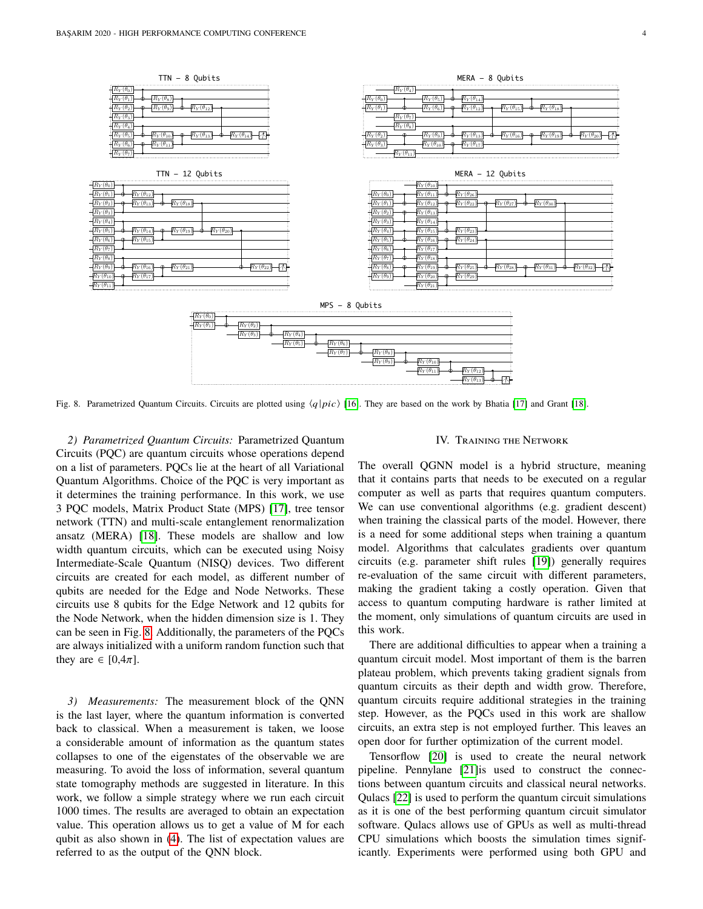

<span id="page-3-0"></span>Fig. 8. Parametrized Quantum Circuits. Circuits are plotted using  $\langle q|pic \rangle$  [\[16\]](#page-5-14). They are based on the work by Bhatia [\[17\]](#page-5-15) and Grant [\[18\]](#page-5-16).

*2) Parametrized Quantum Circuits:* Parametrized Quantum Circuits (PQC) are quantum circuits whose operations depend on a list of parameters. PQCs lie at the heart of all Variational Quantum Algorithms. Choice of the PQC is very important as it determines the training performance. In this work, we use 3 PQC models, Matrix Product State (MPS) [\[17\]](#page-5-15), tree tensor network (TTN) and multi-scale entanglement renormalization ansatz (MERA) [\[18\]](#page-5-16). These models are shallow and low width quantum circuits, which can be executed using Noisy Intermediate-Scale Quantum (NISQ) devices. Two different circuits are created for each model, as different number of qubits are needed for the Edge and Node Networks. These circuits use 8 qubits for the Edge Network and 12 qubits for the Node Network, when the hidden dimension size is 1. They can be seen in Fig. [8.](#page-3-0) Additionally, the parameters of the PQCs are always initialized with a uniform random function such that they are  $\in [0, 4\pi]$ .

*3) Measurements:* The measurement block of the QNN is the last layer, where the quantum information is converted back to classical. When a measurement is taken, we loose a considerable amount of information as the quantum states collapses to one of the eigenstates of the observable we are measuring. To avoid the loss of information, several quantum state tomography methods are suggested in literature. In this work, we follow a simple strategy where we run each circuit 1000 times. The results are averaged to obtain an expectation value. This operation allows us to get a value of M for each qubit as also shown in [\(4\)](#page-2-3). The list of expectation values are referred to as the output of the QNN block.

## IV. Training the Network

The overall QGNN model is a hybrid structure, meaning that it contains parts that needs to be executed on a regular computer as well as parts that requires quantum computers. We can use conventional algorithms (e.g. gradient descent) when training the classical parts of the model. However, there is a need for some additional steps when training a quantum model. Algorithms that calculates gradients over quantum circuits (e.g. parameter shift rules [\[19\]](#page-5-17)) generally requires re-evaluation of the same circuit with different parameters, making the gradient taking a costly operation. Given that access to quantum computing hardware is rather limited at the moment, only simulations of quantum circuits are used in this work.

There are additional difficulties to appear when a training a quantum circuit model. Most important of them is the barren plateau problem, which prevents taking gradient signals from quantum circuits as their depth and width grow. Therefore, quantum circuits require additional strategies in the training step. However, as the PQCs used in this work are shallow circuits, an extra step is not employed further. This leaves an open door for further optimization of the current model.

Tensorflow [\[20\]](#page-5-18) is used to create the neural network pipeline. Pennylane [\[21\]](#page-5-19)is used to construct the connections between quantum circuits and classical neural networks. Qulacs [\[22\]](#page-5-20) is used to perform the quantum circuit simulations as it is one of the best performing quantum circuit simulator software. Qulacs allows use of GPUs as well as multi-thread CPU simulations which boosts the simulation times significantly. Experiments were performed using both GPU and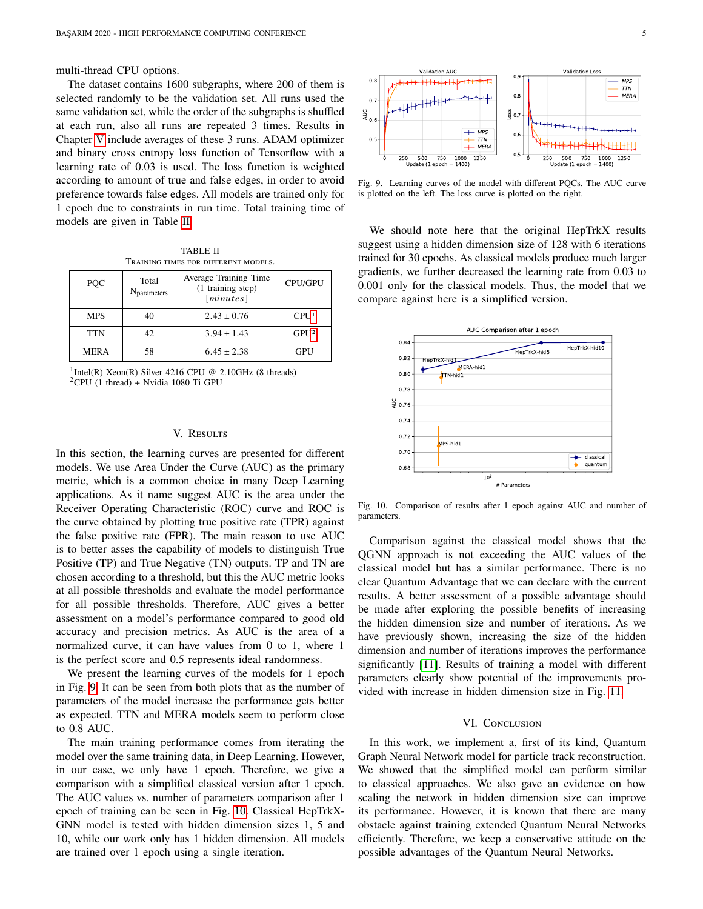multi-thread CPU options.

The dataset contains 1600 subgraphs, where 200 of them is selected randomly to be the validation set. All runs used the same validation set, while the order of the subgraphs is shuffled at each run, also all runs are repeated 3 times. Results in Chapter [V](#page-4-0) include averages of these 3 runs. ADAM optimizer and binary cross entropy loss function of Tensorflow with a learning rate of 0.03 is used. The loss function is weighted according to amount of true and false edges, in order to avoid preference towards false edges. All models are trained only for 1 epoch due to constraints in run time. Total training time of models are given in Table [II.](#page-4-2)

TABLE II Training times for different models.

<span id="page-4-2"></span>

| <b>PQC</b>  | Total<br>N <sub>parameters</sub> | Average Training Time<br>(1 training step)<br>[minutes] | <b>CPU/GPU</b>   |
|-------------|----------------------------------|---------------------------------------------------------|------------------|
| <b>MPS</b>  | 40                               | $2.43 \pm 0.76$                                         | $\mathrm{CPI}^1$ |
| TTN         | 42                               | $3.94 \pm 1.43$                                         | GPU <sup>2</sup> |
| <b>MERA</b> | 58                               | $6.45 \pm 2.38$                                         | GPU              |

<span id="page-4-0"></span><sup>1</sup>Intel(R) Xeon(R) Silver 4216 CPU @ 2.10GHz (8 threads)  ${}^{2}$ CPU (1 thread) + Nvidia 1080 Ti GPU

# V. RESULTS

In this section, the learning curves are presented for different models. We use Area Under the Curve (AUC) as the primary metric, which is a common choice in many Deep Learning applications. As it name suggest AUC is the area under the Receiver Operating Characteristic (ROC) curve and ROC is the curve obtained by plotting true positive rate (TPR) against the false positive rate (FPR). The main reason to use AUC is to better asses the capability of models to distinguish True Positive (TP) and True Negative (TN) outputs. TP and TN are chosen according to a threshold, but this the AUC metric looks at all possible thresholds and evaluate the model performance for all possible thresholds. Therefore, AUC gives a better assessment on a model's performance compared to good old accuracy and precision metrics. As AUC is the area of a normalized curve, it can have values from 0 to 1, where 1 is the perfect score and 0.5 represents ideal randomness. are of 0.03 is used. The loss free interaction is welled the mass of the control interaction of the single interaction of the mass of the mass of the mass of the mass of the mass of the mass of the mass of the mass of the

We present the learning curves of the models for 1 epoch in Fig. [9.](#page-4-3) It can be seen from both plots that as the number of parameters of the model increase the performance gets better as expected. TTN and MERA models seem to perform close to 0.8 AUC.

The main training performance comes from iterating the model over the same training data, in Deep Learning. However, in our case, we only have 1 epoch. Therefore, we give a comparison with a simplified classical version after 1 epoch. The AUC values vs. number of parameters comparison after 1 epoch of training can be seen in Fig. [10.](#page-4-4) Classical HepTrkX-GNN model is tested with hidden dimension sizes 1, 5 and 10, while our work only has 1 hidden dimension. All models



<span id="page-4-3"></span>Fig. 9. Learning curves of the model with different PQCs. The AUC curve is plotted on the left. The loss curve is plotted on the right.

We should note here that the original HepTrkX results suggest using a hidden dimension size of 128 with 6 iterations trained for 30 epochs. As classical models produce much larger gradients, we further decreased the learning rate from 0.03 to 0.001 only for the classical models. Thus, the model that we compare against here is a simplified version.



<span id="page-4-4"></span>Fig. 10. Comparison of results after 1 epoch against AUC and number of parameters.

Comparison against the classical model shows that the QGNN approach is not exceeding the AUC values of the classical model but has a similar performance. There is no clear Quantum Advantage that we can declare with the current results. A better assessment of a possible advantage should be made after exploring the possible benefits of increasing the hidden dimension size and number of iterations. As we have previously shown, increasing the size of the hidden dimension and number of iterations improves the performance significantly [\[11\]](#page-5-9). Results of training a model with different parameters clearly show potential of the improvements provided with increase in hidden dimension size in Fig. [11.](#page-5-21)

#### VI. CONCLUSION

<span id="page-4-1"></span>In this work, we implement a, first of its kind, Quantum Graph Neural Network model for particle track reconstruction. We showed that the simplified model can perform similar to classical approaches. We also gave an evidence on how scaling the network in hidden dimension size can improve its performance. However, it is known that there are many obstacle against training extended Quantum Neural Networks efficiently. Therefore, we keep a conservative attitude on the possible advantages of the Quantum Neural Networks.